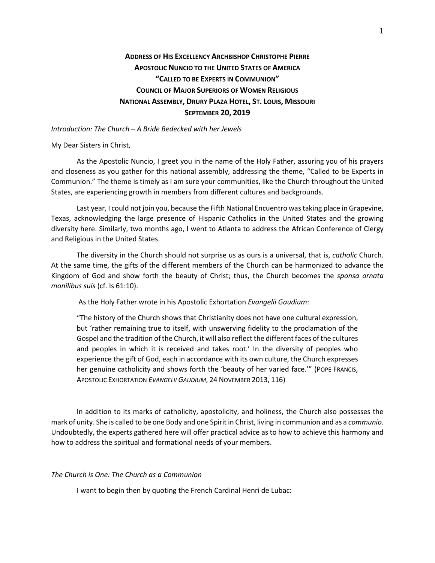# **ADDRESS OF HIS EXCELLENCY ARCHBISHOP CHRISTOPHE PIERRE APOSTOLIC NUNCIO TO THE UNITED STATES OF AMERICA "CALLED TO BE EXPERTS IN COMMUNION" COUNCIL OF MAJOR SUPERIORS OF WOMEN RELIGIOUS NATIONAL ASSEMBLY, DRURY PLAZA HOTEL, ST. LOUIS, MISSOURI SEPTEMBER 20, 2019**

*Introduction: The Church – A Bride Bedecked with her Jewels*

My Dear Sisters in Christ,

As the Apostolic Nuncio, I greet you in the name of the Holy Father, assuring you of his prayers and closeness as you gather for this national assembly, addressing the theme, "Called to be Experts in Communion." The theme is timely as I am sure your communities, like the Church throughout the United States, are experiencing growth in members from different cultures and backgrounds.

Last year, I could not join you, because the Fifth National Encuentro was taking place in Grapevine, Texas, acknowledging the large presence of Hispanic Catholics in the United States and the growing diversity here. Similarly, two months ago, I went to Atlanta to address the African Conference of Clergy and Religious in the United States.

The diversity in the Church should not surprise us as ours is a universal, that is, *catholic* Church. At the same time, the gifts of the different members of the Church can be harmonized to advance the Kingdom of God and show forth the beauty of Christ; thus, the Church becomes the *sponsa ornata monilibus suis* (cf. Is 61:10).

As the Holy Father wrote in his Apostolic Exhortation *Evangelii Gaudium*:

"The history of the Church shows that Christianity does not have one cultural expression, but 'rather remaining true to itself, with unswerving fidelity to the proclamation of the Gospel and the tradition of the Church, it will also reflect the different faces of the cultures and peoples in which it is received and takes root.' In the diversity of peoples who experience the gift of God, each in accordance with its own culture, the Church expresses her genuine catholicity and shows forth the 'beauty of her varied face.'" (POPE FRANCIS, APOSTOLIC EXHORTATION *EVANGELII GAUDIUM*, 24 NOVEMBER 2013, 116)

In addition to its marks of catholicity, apostolicity, and holiness, the Church also possesses the mark of unity. She is called to be one Body and one Spirit in Christ, living in communion and as a *communio*. Undoubtedly, the experts gathered here will offer practical advice as to how to achieve this harmony and how to address the spiritual and formational needs of your members.

## *The Church is One: The Church as a Communion*

I want to begin then by quoting the French Cardinal Henri de Lubac: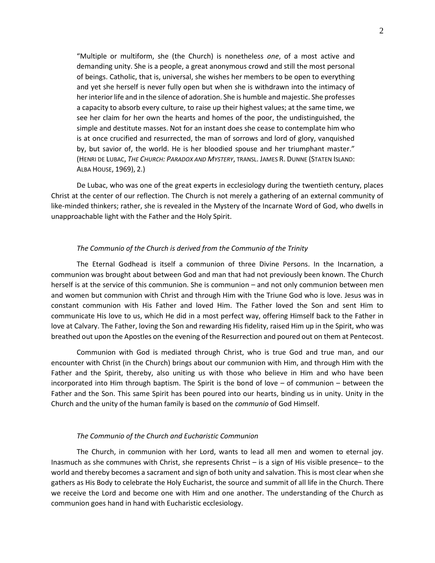"Multiple or multiform, she (the Church) is nonetheless *one*, of a most active and demanding unity. She is a people, a great anonymous crowd and still the most personal of beings. Catholic, that is, universal, she wishes her members to be open to everything and yet she herself is never fully open but when she is withdrawn into the intimacy of her interior life and in the silence of adoration. She is humble and majestic. She professes a capacity to absorb every culture, to raise up their highest values; at the same time, we see her claim for her own the hearts and homes of the poor, the undistinguished, the simple and destitute masses. Not for an instant does she cease to contemplate him who is at once crucified and resurrected, the man of sorrows and lord of glory, vanquished by, but savior of, the world. He is her bloodied spouse and her triumphant master." (HENRI DE LUBAC, *THE CHURCH: PARADOX AND MYSTERY*, TRANSL. JAMES R. DUNNE (STATEN ISLAND: ALBA HOUSE, 1969), 2.)

De Lubac, who was one of the great experts in ecclesiology during the twentieth century, places Christ at the center of our reflection. The Church is not merely a gathering of an external community of like-minded thinkers; rather, she is revealed in the Mystery of the Incarnate Word of God, who dwells in unapproachable light with the Father and the Holy Spirit.

# *The Communio of the Church is derived from the Communio of the Trinity*

The Eternal Godhead is itself a communion of three Divine Persons. In the Incarnation, a communion was brought about between God and man that had not previously been known. The Church herself is at the service of this communion. She is communion – and not only communion between men and women but communion with Christ and through Him with the Triune God who is love. Jesus was in constant communion with His Father and loved Him. The Father loved the Son and sent Him to communicate His love to us, which He did in a most perfect way, offering Himself back to the Father in love at Calvary. The Father, loving the Son and rewarding His fidelity, raised Him up in the Spirit, who was breathed out upon the Apostles on the evening of the Resurrection and poured out on them at Pentecost.

Communion with God is mediated through Christ, who is true God and true man, and our encounter with Christ (in the Church) brings about our communion with Him, and through Him with the Father and the Spirit, thereby, also uniting us with those who believe in Him and who have been incorporated into Him through baptism. The Spirit is the bond of love – of communion – between the Father and the Son. This same Spirit has been poured into our hearts, binding us in unity. Unity in the Church and the unity of the human family is based on the *communio* of God Himself.

#### *The Communio of the Church and Eucharistic Communion*

The Church, in communion with her Lord, wants to lead all men and women to eternal joy. Inasmuch as she communes with Christ, she represents Christ – is a sign of His visible presence– to the world and thereby becomes a sacrament and sign of both unity and salvation. This is most clear when she gathers as His Body to celebrate the Holy Eucharist, the source and summit of all life in the Church. There we receive the Lord and become one with Him and one another. The understanding of the Church as communion goes hand in hand with Eucharistic ecclesiology.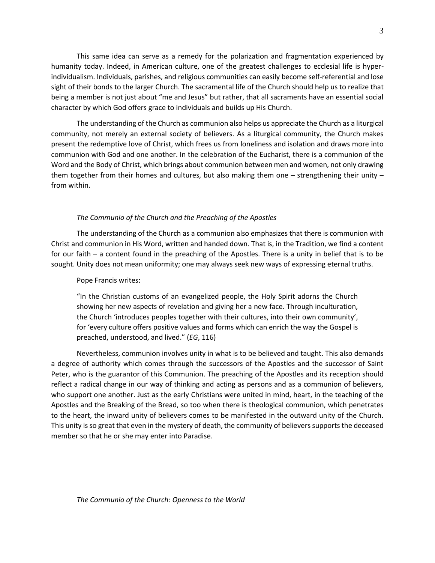This same idea can serve as a remedy for the polarization and fragmentation experienced by humanity today. Indeed, in American culture, one of the greatest challenges to ecclesial life is hyperindividualism. Individuals, parishes, and religious communities can easily become self-referential and lose sight of their bonds to the larger Church. The sacramental life of the Church should help us to realize that being a member is not just about "me and Jesus" but rather, that all sacraments have an essential social character by which God offers grace to individuals and builds up His Church.

The understanding of the Church as communion also helps us appreciate the Church as a liturgical community, not merely an external society of believers. As a liturgical community, the Church makes present the redemptive love of Christ, which frees us from loneliness and isolation and draws more into communion with God and one another. In the celebration of the Eucharist, there is a communion of the Word and the Body of Christ, which brings about communion between men and women, not only drawing them together from their homes and cultures, but also making them one – strengthening their unity – from within.

## *The Communio of the Church and the Preaching of the Apostles*

The understanding of the Church as a communion also emphasizes that there is communion with Christ and communion in His Word, written and handed down. That is, in the Tradition, we find a content for our faith – a content found in the preaching of the Apostles. There is a unity in belief that is to be sought. Unity does not mean uniformity; one may always seek new ways of expressing eternal truths.

#### Pope Francis writes:

"In the Christian customs of an evangelized people, the Holy Spirit adorns the Church showing her new aspects of revelation and giving her a new face. Through inculturation, the Church 'introduces peoples together with their cultures, into their own community', for 'every culture offers positive values and forms which can enrich the way the Gospel is preached, understood, and lived." (*EG*, 116)

Nevertheless, communion involves unity in what is to be believed and taught. This also demands a degree of authority which comes through the successors of the Apostles and the successor of Saint Peter, who is the guarantor of this Communion. The preaching of the Apostles and its reception should reflect a radical change in our way of thinking and acting as persons and as a communion of believers, who support one another. Just as the early Christians were united in mind, heart, in the teaching of the Apostles and the Breaking of the Bread, so too when there is theological communion, which penetrates to the heart, the inward unity of believers comes to be manifested in the outward unity of the Church. This unity is so great that even in the mystery of death, the community of believers supports the deceased member so that he or she may enter into Paradise.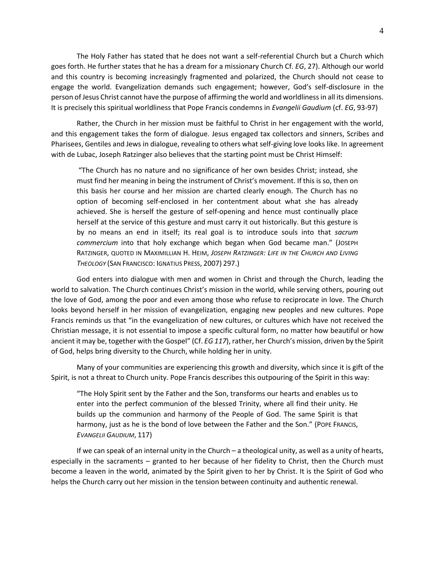The Holy Father has stated that he does not want a self-referential Church but a Church which goes forth. He further states that he has a dream for a missionary Church Cf. *EG*, 27). Although our world and this country is becoming increasingly fragmented and polarized, the Church should not cease to engage the world. Evangelization demands such engagement; however, God's self-disclosure in the person of Jesus Christ cannot have the purpose of affirming the world and worldliness in all its dimensions. It is precisely this spiritual worldliness that Pope Francis condemns in *Evangelii Gaudium* (cf. *EG*, 93-97)

Rather, the Church in her mission must be faithful to Christ in her engagement with the world, and this engagement takes the form of dialogue. Jesus engaged tax collectors and sinners, Scribes and Pharisees, Gentiles and Jews in dialogue, revealing to others what self-giving love looks like. In agreement with de Lubac, Joseph Ratzinger also believes that the starting point must be Christ Himself:

"The Church has no nature and no significance of her own besides Christ; instead, she must find her meaning in being the instrument of Christ's movement. If this is so, then on this basis her course and her mission are charted clearly enough. The Church has no option of becoming self-enclosed in her contentment about what she has already achieved. She is herself the gesture of self-opening and hence must continually place herself at the service of this gesture and must carry it out historically. But this gesture is by no means an end in itself; its real goal is to introduce souls into that *sacrum commercium* into that holy exchange which began when God became man." (JOSEPH RATZINGER, QUOTED IN MAXIMILLIAN H. HEIM, *JOSEPH RATZINGER: LIFE IN THE CHURCH AND LIVING THEOLOGY* (SAN FRANCISCO: IGNATIUS PRESS, 2007) 297.)

God enters into dialogue with men and women in Christ and through the Church, leading the world to salvation. The Church continues Christ's mission in the world, while serving others, pouring out the love of God, among the poor and even among those who refuse to reciprocate in love. The Church looks beyond herself in her mission of evangelization, engaging new peoples and new cultures. Pope Francis reminds us that "in the evangelization of new cultures, or cultures which have not received the Christian message, it is not essential to impose a specific cultural form, no matter how beautiful or how ancient it may be, together with the Gospel" (Cf. *EG 117*), rather, her Church's mission, driven by the Spirit of God, helps bring diversity to the Church, while holding her in unity.

Many of your communities are experiencing this growth and diversity, which since it is gift of the Spirit, is not a threat to Church unity. Pope Francis describes this outpouring of the Spirit in this way:

"The Holy Spirit sent by the Father and the Son, transforms our hearts and enables us to enter into the perfect communion of the blessed Trinity, where all find their unity. He builds up the communion and harmony of the People of God. The same Spirit is that harmony, just as he is the bond of love between the Father and the Son." (POPE FRANCIS, *EVANGELII GAUDIUM*, 117)

If we can speak of an internal unity in the Church – a theological unity, as well as a unity of hearts, especially in the sacraments – granted to her because of her fidelity to Christ, then the Church must become a leaven in the world, animated by the Spirit given to her by Christ. It is the Spirit of God who helps the Church carry out her mission in the tension between continuity and authentic renewal.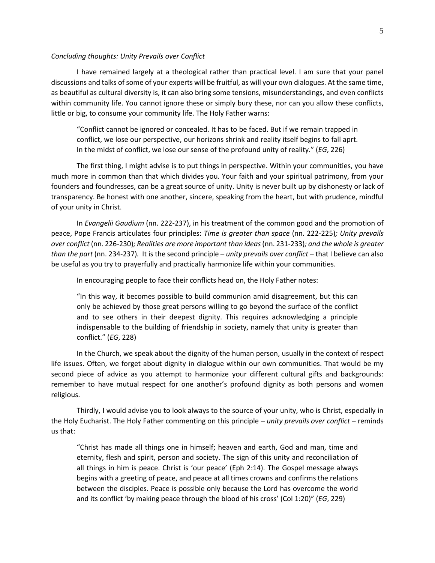#### *Concluding thoughts: Unity Prevails over Conflict*

I have remained largely at a theological rather than practical level. I am sure that your panel discussions and talks of some of your experts will be fruitful, as will your own dialogues. At the same time, as beautiful as cultural diversity is, it can also bring some tensions, misunderstandings, and even conflicts within community life. You cannot ignore these or simply bury these, nor can you allow these conflicts, little or big, to consume your community life. The Holy Father warns:

"Conflict cannot be ignored or concealed. It has to be faced. But if we remain trapped in conflict, we lose our perspective, our horizons shrink and reality itself begins to fall aprt. In the midst of conflict, we lose our sense of the profound unity of reality." (*EG*, 226)

The first thing, I might advise is to put things in perspective. Within your communities, you have much more in common than that which divides you. Your faith and your spiritual patrimony, from your founders and foundresses, can be a great source of unity. Unity is never built up by dishonesty or lack of transparency. Be honest with one another, sincere, speaking from the heart, but with prudence, mindful of your unity in Christ.

In *Evangelii Gaudium* (nn. 222-237), in his treatment of the common good and the promotion of peace, Pope Francis articulates four principles: *Time is greater than space* (nn. 222-225)*; Unity prevails over conflict* (nn. 226-230)*; Realities are more important than ideas* (nn. 231-233)*; and the whole is greater than the part (nn. 234-237).* It is the second principle – *unity prevails over conflict* – that I believe can also be useful as you try to prayerfully and practically harmonize life within your communities.

In encouraging people to face their conflicts head on, the Holy Father notes:

"In this way, it becomes possible to build communion amid disagreement, but this can only be achieved by those great persons willing to go beyond the surface of the conflict and to see others in their deepest dignity. This requires acknowledging a principle indispensable to the building of friendship in society, namely that unity is greater than conflict." (*EG*, 228)

In the Church, we speak about the dignity of the human person, usually in the context of respect life issues. Often, we forget about dignity in dialogue within our own communities. That would be my second piece of advice as you attempt to harmonize your different cultural gifts and backgrounds: remember to have mutual respect for one another's profound dignity as both persons and women religious.

Thirdly, I would advise you to look always to the source of your unity, who is Christ, especially in the Holy Eucharist. The Holy Father commenting on this principle – *unity prevails over conflict* – reminds us that:

"Christ has made all things one in himself; heaven and earth, God and man, time and eternity, flesh and spirit, person and society. The sign of this unity and reconciliation of all things in him is peace. Christ is 'our peace' (Eph 2:14). The Gospel message always begins with a greeting of peace, and peace at all times crowns and confirms the relations between the disciples. Peace is possible only because the Lord has overcome the world and its conflict 'by making peace through the blood of his cross' (Col 1:20)" (*EG*, 229)